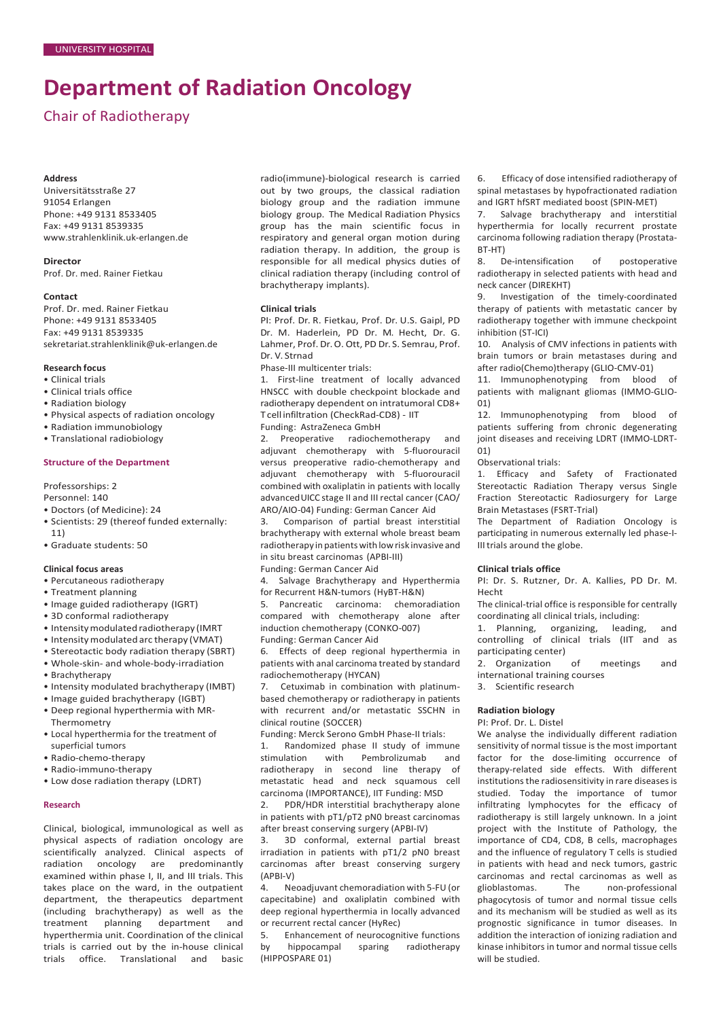# **Department of Radiation Oncology**

# Chair of Radiotherapy

#### **Address**

Universitätsstraße 27 91054 Erlangen Phone: +49 9131 8533405 Fax: +49 9131 8539335 [www.strahlenklinik.uk-erlangen.de](http://www.strahlenklinik.uk-erlangen.de/)

# **Director**

Prof. Dr. med. Rainer Fietkau

#### **Contact**

Prof. Dr. med. Rainer Fietkau Phone: +49 9131 8533405 Fax: +49 9131 8539335 [sekretariat.strahlenklinik@uk-erlangen.de](mailto:sekretariat.strahlenklinik@uk-erlangen.de)

#### **Research focus**

- Clinical trials
- Clinical trials office
- Radiation biology
- Physical aspects of radiation oncology
- Radiation immunobiology
- Translational radiobiology

#### **Structure of the Department**

Professorships: 2

Personnel: 140

- Doctors (of Medicine): 24
- Scientists: 29 (thereof funded externally: 11)
- Graduate students: 50

#### **Clinical focus areas**

- Percutaneous radiotherapy
- Treatment planning
- Image guided radiotherapy (IGRT)
- 3D conformal radiotherapy
- Intensitymodulated radiotherapy (IMRT
- Intensitymodulated arc therapy (VMAT)
- Stereotactic body radiation therapy (SBRT)
- Whole-skin- and whole-body-irradiation
- Brachytherapy
- Intensity modulated brachytherapy (IMBT)
- Image guided brachytherapy (IGBT)
- Deep regional hyperthermia with MR-Thermometry
- Local hyperthermia for the treatment of superficial tumors
- Radio-chemo-therapy
- Radio-immuno-therapy
- Low dose radiation therapy (LDRT)

### **Research**

Clinical, biological, immunological as well as physical aspects of radiation oncology are scientifically analyzed. Clinical aspects of radiation oncology are predominantly examined within phase I, II, and III trials. This takes place on the ward, in the outpatient department, the therapeutics department (including brachytherapy) as well as the<br>treatment planning department and treatment planning department and hyperthermia unit. Coordination of the clinical trials is carried out by the in-house clinical trials office. Translational and basic

radio(immune)-biological research is carried out by two groups, the classical radiation biology group and the radiation immune biology group. The Medical Radiation Physics group has the main scientific focus in respiratory and general organ motion during radiation therapy. In addition, the group is responsible for all medical physics duties of clinical radiation therapy (including control of brachytherapy implants).

#### **Clinical trials**

PI: Prof. Dr. R. Fietkau, Prof. Dr. U.S. Gaipl, PD Dr. M. Haderlein, PD Dr. M. Hecht, Dr. G. Lahmer, Prof. Dr. O. Ott, PD Dr. S. Semrau, Prof. Dr. V. Strnad

Phase-III multicenter trials:

1. First-line treatment of locally advanced HNSCC with double checkpoint blockade and radiotherapy dependent on intratumoral CD8+ T cell infiltration (CheckRad-CD8) - IIT

Funding: AstraZeneca GmbH

2. Preoperative radiochemotherapy and adjuvant chemotherapy with 5-fluorouracil versus preoperative radio-chemotherapy and adjuvant chemotherapy with 5-fluorouracil combined with oxaliplatin in patients with locally advancedUICC stage II and III rectal cancer (CAO/ ARO/AIO-04) Funding: German Cancer Aid

3. Comparison of partial breast interstitial brachytherapy with external whole breast beam radiotherapy in patients withlowrisk invasive and in situ breast carcinomas (APBI-III) Funding: German Cancer Aid

4. Salvage Brachytherapy and Hyperthermia for Recurrent H&N-tumors (HyBT-H&N)

5. Pancreatic carcinoma: chemoradiation compared with chemotherapy alone after induction chemotherapy (CONKO-007) Funding: German Cancer Aid

6. Effects of deep regional hyperthermia in patients with anal carcinoma treated by standard radiochemotherapy (HYCAN)

7. Cetuximab in combination with platinumbased chemotherapy or radiotherapy in patients with recurrent and/or metastatic SSCHN in clinical routine (SOCCER)

Funding: Merck Serono GmbH Phase-II trials:

1. Randomized phase II study of immune stimulation with Pembrolizumab and radiotherapy in second line therapy of metastatic head and neck squamous cell carcinoma (IMPORTANCE), IIT Funding: MSD

2. PDR/HDR interstitial brachytherapy alone in patients with pT1/pT2 pN0 breast carcinomas after breast conserving surgery (APBI-IV)

3. 3D conformal, external partial breast irradiation in patients with pT1/2 pN0 breast carcinomas after breast conserving surgery (APBI-V)

4. Neoadjuvant chemoradiation with 5-FU (or capecitabine) and oxaliplatin combined with deep regional hyperthermia in locally advanced or recurrent rectal cancer (HyRec)

5. Enhancement of neurocognitive functions by hippocampal sparing radiotherapy (HIPPOSPARE 01)

6. Efficacy of dose intensified radiotherapy of spinal metastases by hypofractionated radiation and IGRT hfSRT mediated boost (SPIN-MET)

Salvage brachytherapy and interstitial hyperthermia for locally recurrent prostate carcinoma following radiation therapy (Prostata-BT-HT)

8. De-intensification of postoperative radiotherapy in selected patients with head and neck cancer (DIREKHT)

9. Investigation of the timely-coordinated therapy of patients with metastatic cancer by radiotherapy together with immune checkpoint inhibition (ST-ICI)

10. Analysis of CMV infections in patients with brain tumors or brain metastases during and after radio(Chemo)therapy (GLIO-CMV-01)

11. Immunophenotyping from blood of patients with malignant gliomas (IMMO-GLIO- $01)$ <br> $12.$ 

Immunophenotyping from blood of patients suffering from chronic degenerating joint diseases and receiving LDRT (IMMO-LDRT-01)

Observational trials:

1. Efficacy and Safety of Fractionated Stereotactic Radiation Therapy versus Single Fraction Stereotactic Radiosurgery for Large Brain Metastases (FSRT-Trial)

The Department of Radiation Oncology is participating in numerous externally led phase-I-IIItrials around the globe.

#### **Clinical trials office**

PI: Dr. S. Rutzner, Dr. A. Kallies, PD Dr. M. Hecht

The clinical-trial office is responsible for centrally coordinating all clinical trials, including:

1. Planning, organizing, leading, and controlling of clinical trials (IIT and as participating center)

2. Organization of meetings and international training courses

3. Scientific research

#### **Radiation biology**

PI: Prof. Dr. L. Distel

We analyse the individually different radiation sensitivity of normal tissue is the most important factor for the dose-limiting occurrence of therapy-related side effects. With different institutions the radiosensitivity in rare diseases is studied. Today the importance of tumor infiltrating lymphocytes for the efficacy of radiotherapy is still largely unknown. In a joint project with the Institute of Pathology, the importance of CD4, CD8, B cells, macrophages and the influence of regulatory T cells is studied in patients with head and neck tumors, gastric carcinomas and rectal carcinomas as well as glioblastomas. The non-professional phagocytosis of tumor and normal tissue cells and its mechanism will be studied as well as its prognostic significance in tumor diseases. In addition the interaction of ionizing radiation and kinase inhibitors in tumor and normal tissue cells will be studied.